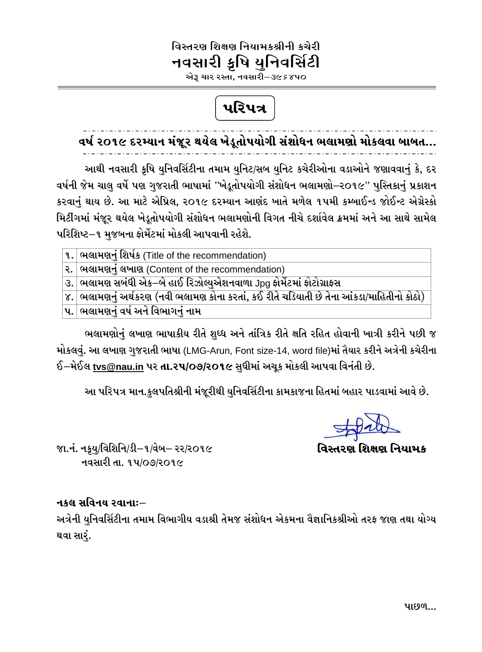## વિસ્તરણ શિક્ષણ નિયામકશ્રીની કચેરી નવસારી ક્રૃષિ યુનિવર્સિટી

એરૂ ચાર રસ્તા, નવસારી $-$ ૩૯ $\bar{s}$ ૪૫૦

# પરિપત્ર

 $\overline{a}$ 

વર્ષ ૨૦૧૯ દરમ્યાન મંજૂર થયેલ ખેડૂતોપયોગી સંશોધન ભલામણો મોકલવા બાબત...

આથી નવસારી કૃષિ યુનિવર્સિટીના તમામ યુનિટ/સબ યુનિટ કચેરીઓના વડાઓને જણાવવાનું કે, દર વર્ષની જેમ ચાલુ વર્ષે પણ ગુજરાતી ભાષામાં ''ખેડૂતોપયોગી સંશોધન ભલામણો–૨૦૧૯'' પુસ્તિકાનું પ્રકાશન કરવાનં થાય છે. આ માટે એપ્રિલ, ૨૦૧૯ દરમ્યાન આણંદ ખાતે મળેલ ૧૫મી કમ્બાઈન્ડ જોઈન્ટ એગ્રેસ્કો મિટીંગમાં મંજૂર થયેલ ખેડૂતોપયોગી સંશોધન ભલામણોની વિગત નીચે દર્શાવેલ ક્રમમાં અને આ સાથે સામેલ પરિશિષ્ટ−૧ મજબના ફોર્મેટમાં મોકલી આપવાની રહેશે.

૧. ભિલામણનંં શિર્ષક (Title of the recommendation)

ર. સિલામણનું લખાણ (Content of the recommendation)

 $\,$ ૩. $\,$ ભલામણ સબંધી એક $-$ બે હાઈ રિઝોલ્યુએશનવાળા Jpg ફોર્મેટમાં ફોટોગ્રાફસ

૪. ભિલામણનું અર્થકરણ (નવી ભલામણ કોના કરતાં, કઈ રીતે ચડિયાતી છે તેના આંકડા/માહિતીનો કોઠો)

 $\overline{\mathbf{u}}$ . ભિલામણનંં વર્ષ અને વિભાગનંં નામ

ભલામણોનું લખાણ ભાષાકીય રીતે શુધ્ધ અને તાંત્રિક રીતે ક્ષતિ રહિત હોવાની ખાત્રી કરીને પછી જ મોકલવું. આ લખાણ ગુજરાતી ભાષા (LMG-Arun, Font size-14, word file)માં તૈયાર કરીને અત્રેની કચેરીના  $6$ –મેઈલ <u>[tvs@nau.in](mailto:tvs@nau.in)</u> પર **તા.૨૫/૦૭/૨૦૧૯** સુધીમાં અચૂક મોકલી આપવા વિનંતી છે.

આ પરિપત્ર માન.કુલપતિશ્રીની મંજૂરીથી યુનિવર્સિટીના કામકાજના હિતમાં બહાર પાડવામાં આવે છે.

વિસ્તરણ શિક્ષણ નિયામક

જા.નં. નક્ર્યુ/વિશિનિ/ડી–૧/વેબ– રર/ર૦૧૯ નવસારી તા. ૧૫/૦૭/૨૦૧૯

#### નક્**લ સવિનય રવાનાઃ**–

અત્રેની યુનિવર્સિટીના તમામ વિભાગીય વડાશ્રી તેમજ સંશોધન એકમના વૈજ્ઞાનિકશ્રીઓ તરફ જાણ તથા યોગ્ય થવા સારં.